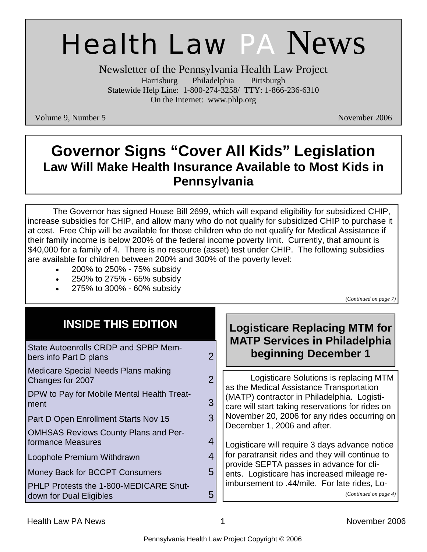# Health Law PA News

Newsletter of the Pennsylvania Health Law Project Harrisburg Philadelphia Pittsburgh Statewide Help Line: 1-800-274-3258/ TTY: 1-866-236-6310 On the Internet: www.phlp.org

Volume 9, Number 5 November 2006

# **Governor Signs "Cover All Kids" Legislation Law Will Make Health Insurance Available to Most Kids in Pennsylvania**

 The Governor has signed House Bill 2699, which will expand eligibility for subsidized CHIP, increase subsidies for CHIP, and allow many who do not qualify for subsidized CHIP to purchase it at cost. Free Chip will be available for those children who do not qualify for Medical Assistance if their family income is below 200% of the federal income poverty limit. Currently, that amount is \$40,000 for a family of 4. There is no resource (asset) test under CHIP. The following subsidies are available for children between 200% and 300% of the poverty level:

- 200% to 250% 75% subsidy
- 250% to 275% 65% subsidy
- 275% to 300% 60% subsidy

*(Continued on page 7)* 

| <b>INSIDE THIS EDITION</b>                                       |   | <b>Logisticare Replacing MTM for</b><br><b>MATP Services in Philadelphia</b>                                                                                                                                                                                                                                                                                                                                                                                                                                                                  |
|------------------------------------------------------------------|---|-----------------------------------------------------------------------------------------------------------------------------------------------------------------------------------------------------------------------------------------------------------------------------------------------------------------------------------------------------------------------------------------------------------------------------------------------------------------------------------------------------------------------------------------------|
| State Autoenrolls CRDP and SPBP Mem-<br>bers info Part D plans   |   | beginning December 1                                                                                                                                                                                                                                                                                                                                                                                                                                                                                                                          |
| Medicare Special Needs Plans making<br>Changes for 2007          | 2 | Logisticare Solutions is replacing MTM<br>as the Medical Assistance Transportation<br>(MATP) contractor in Philadelphia. Logisti-<br>care will start taking reservations for rides on<br>November 20, 2006 for any rides occurring on<br>December 1, 2006 and after.<br>Logisticare will require 3 days advance notice<br>for paratransit rides and they will continue to<br>provide SEPTA passes in advance for cli-<br>ents. Logisticare has increased mileage re-<br>imbursement to .44/mile. For late rides, Lo-<br>(Continued on page 4) |
| DPW to Pay for Mobile Mental Health Treat-<br>ment               | 3 |                                                                                                                                                                                                                                                                                                                                                                                                                                                                                                                                               |
| Part D Open Enrollment Starts Nov 15                             | 3 |                                                                                                                                                                                                                                                                                                                                                                                                                                                                                                                                               |
| <b>OMHSAS Reviews County Plans and Per-</b><br>formance Measures |   |                                                                                                                                                                                                                                                                                                                                                                                                                                                                                                                                               |
| Loophole Premium Withdrawn                                       |   |                                                                                                                                                                                                                                                                                                                                                                                                                                                                                                                                               |
| Money Back for BCCPT Consumers                                   | 5 |                                                                                                                                                                                                                                                                                                                                                                                                                                                                                                                                               |
| PHLP Protests the 1-800-MEDICARE Shut-                           | 5 |                                                                                                                                                                                                                                                                                                                                                                                                                                                                                                                                               |
| down for Dual Eligibles                                          |   |                                                                                                                                                                                                                                                                                                                                                                                                                                                                                                                                               |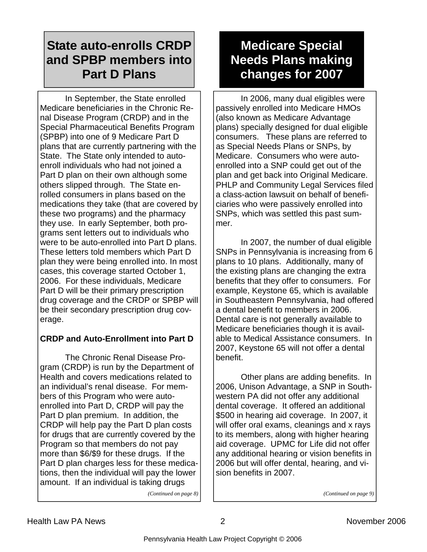### **State auto-enrolls CRDP and SPBP members into Part D Plans**

 In September, the State enrolled Medicare beneficiaries in the Chronic Renal Disease Program (CRDP) and in the Special Pharmaceutical Benefits Program (SPBP) into one of 9 Medicare Part D plans that are currently partnering with the State. The State only intended to autoenroll individuals who had not joined a Part D plan on their own although some others slipped through. The State enrolled consumers in plans based on the medications they take (that are covered by these two programs) and the pharmacy they use. In early September, both programs sent letters out to individuals who were to be auto-enrolled into Part D plans. These letters told members which Part D plan they were being enrolled into. In most cases, this coverage started October 1, 2006. For these individuals, Medicare Part D will be their primary prescription drug coverage and the CRDP or SPBP will be their secondary prescription drug coverage.

#### **CRDP and Auto-Enrollment into Part D**

 The Chronic Renal Disease Program (CRDP) is run by the Department of Health and covers medications related to an individual's renal disease. For members of this Program who were autoenrolled into Part D, CRDP will pay the Part D plan premium. In addition, the CRDP will help pay the Part D plan costs for drugs that are currently covered by the Program so that members do not pay more than \$6/\$9 for these drugs. If the Part D plan charges less for these medications, then the individual will pay the lower amount. If an individual is taking drugs *(Continued on page 8)* 

### **Medicare Special Needs Plans making changes for 2007**

 In 2006, many dual eligibles were passively enrolled into Medicare HMOs (also known as Medicare Advantage plans) specially designed for dual eligible consumers. These plans are referred to as Special Needs Plans or SNPs, by Medicare. Consumers who were autoenrolled into a SNP could get out of the plan and get back into Original Medicare. PHLP and Community Legal Services filed a class-action lawsuit on behalf of beneficiaries who were passively enrolled into SNPs, which was settled this past summer.

 In 2007, the number of dual eligible SNPs in Pennsylvania is increasing from 6 plans to 10 plans. Additionally, many of the existing plans are changing the extra benefits that they offer to consumers. For example, Keystone 65, which is available in Southeastern Pennsylvania, had offered a dental benefit to members in 2006. Dental care is not generally available to Medicare beneficiaries though it is available to Medical Assistance consumers. In 2007, Keystone 65 will not offer a dental benefit.

 Other plans are adding benefits. In 2006, Unison Advantage, a SNP in Southwestern PA did not offer any additional dental coverage. It offered an additional \$500 in hearing aid coverage. In 2007, it will offer oral exams, cleanings and x rays to its members, along with higher hearing aid coverage. UPMC for Life did not offer any additional hearing or vision benefits in 2006 but will offer dental, hearing, and vision benefits in 2007.

*(Continued on page 9)*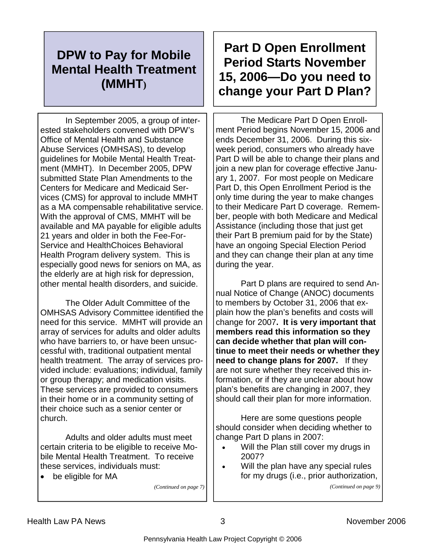### **DPW to Pay for Mobile Mental Health Treatment (MMHT)**

 In September 2005, a group of interested stakeholders convened with DPW's Office of Mental Health and Substance Abuse Services (OMHSAS), to develop guidelines for Mobile Mental Health Treatment (MMHT). In December 2005, DPW submitted State Plan Amendments to the Centers for Medicare and Medicaid Services (CMS) for approval to include MMHT as a MA compensable rehabilitative service. With the approval of CMS, MMHT will be available and MA payable for eligible adults 21 years and older in both the Fee-For-Service and HealthChoices Behavioral Health Program delivery system. This is especially good news for seniors on MA, as the elderly are at high risk for depression, other mental health disorders, and suicide.

 The Older Adult Committee of the OMHSAS Advisory Committee identified the need for this service. MMHT will provide an array of services for adults and older adults who have barriers to, or have been unsuccessful with, traditional outpatient mental health treatment. The array of services provided include: evaluations; individual, family or group therapy; and medication visits. These services are provided to consumers in their home or in a community setting of their choice such as a senior center or church.

 Adults and older adults must meet certain criteria to be eligible to receive Mobile Mental Health Treatment. To receive these services, individuals must:

• be eligible for MA

*(Continued on page 7)* 

## **Part D Open Enrollment Period Starts November 15, 2006—Do you need to change your Part D Plan?**

 The Medicare Part D Open Enrollment Period begins November 15, 2006 and ends December 31, 2006. During this sixweek period, consumers who already have Part D will be able to change their plans and join a new plan for coverage effective January 1, 2007. For most people on Medicare Part D, this Open Enrollment Period is the only time during the year to make changes to their Medicare Part D coverage. Remember, people with both Medicare and Medical Assistance (including those that just get their Part B premium paid for by the State) have an ongoing Special Election Period and they can change their plan at any time during the year.

 Part D plans are required to send Annual Notice of Change (ANOC) documents to members by October 31, 2006 that explain how the plan's benefits and costs will change for 2007**. It is very important that members read this information so they can decide whether that plan will continue to meet their needs or whether they need to change plans for 2007.** If they are not sure whether they received this information, or if they are unclear about how plan's benefits are changing in 2007, they should call their plan for more information.

 Here are some questions people should consider when deciding whether to change Part D plans in 2007:

- Will the Plan still cover my drugs in 2007?
- Will the plan have any special rules for my drugs (i.e., prior authorization,

*(Continued on page 9)*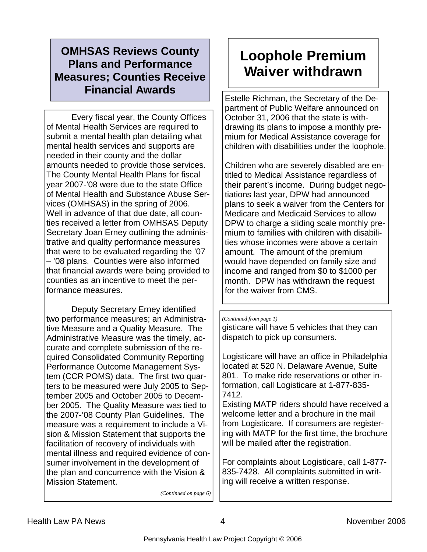### **OMHSAS Reviews County Plans and Performance Measures; Counties Receive Financial Awards**

 Every fiscal year, the County Offices of Mental Health Services are required to submit a mental health plan detailing what mental health services and supports are needed in their county and the dollar amounts needed to provide those services. The County Mental Health Plans for fiscal year 2007-'08 were due to the state Office of Mental Health and Substance Abuse Services (OMHSAS) in the spring of 2006. Well in advance of that due date, all counties received a letter from OMHSAS Deputy Secretary Joan Erney outlining the administrative and quality performance measures that were to be evaluated regarding the '07 – '08 plans. Counties were also informed that financial awards were being provided to counties as an incentive to meet the performance measures.

 Deputy Secretary Erney identified two performance measures; an Administrative Measure and a Quality Measure. The Administrative Measure was the timely, accurate and complete submission of the required Consolidated Community Reporting Performance Outcome Management System (CCR POMS) data. The first two quarters to be measured were July 2005 to September 2005 and October 2005 to December 2005. The Quality Measure was tied to the 2007-'08 County Plan Guidelines. The measure was a requirement to include a Vision & Mission Statement that supports the facilitation of recovery of individuals with mental illness and required evidence of consumer involvement in the development of the plan and concurrence with the Vision & Mission Statement.

*(Continued on page 6)* 

# **Loophole Premium Waiver withdrawn**

Estelle Richman, the Secretary of the Department of Public Welfare announced on October 31, 2006 that the state is withdrawing its plans to impose a monthly premium for Medical Assistance coverage for children with disabilities under the loophole.

Children who are severely disabled are entitled to Medical Assistance regardless of their parent's income. During budget negotiations last year, DPW had announced plans to seek a waiver from the Centers for Medicare and Medicaid Services to allow DPW to charge a sliding scale monthly premium to families with children with disabilities whose incomes were above a certain amount. The amount of the premium would have depended on family size and income and ranged from \$0 to \$1000 per month. DPW has withdrawn the request for the waiver from CMS.

#### *(Continued from page 1)*

gisticare will have 5 vehicles that they can dispatch to pick up consumers.

Logisticare will have an office in Philadelphia located at 520 N. Delaware Avenue, Suite 801. To make ride reservations or other information, call Logisticare at 1-877-835- 7412.

Existing MATP riders should have received a welcome letter and a brochure in the mail from Logisticare. If consumers are registering with MATP for the first time, the brochure will be mailed after the registration.

For complaints about Logisticare, call 1-877- 835-7428. All complaints submitted in writing will receive a written response.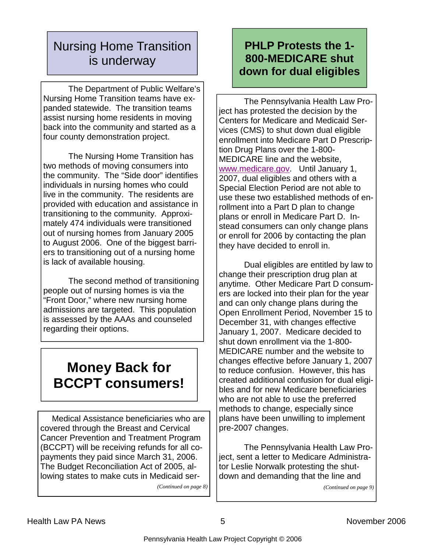### Nursing Home Transition is underway

 The Department of Public Welfare's Nursing Home Transition teams have expanded statewide. The transition teams assist nursing home residents in moving back into the community and started as a four county demonstration project.

 The Nursing Home Transition has two methods of moving consumers into the community. The "Side door" identifies individuals in nursing homes who could live in the community. The residents are provided with education and assistance in transitioning to the community. Approximately 474 individuals were transitioned out of nursing homes from January 2005 to August 2006. One of the biggest barriers to transitioning out of a nursing home is lack of available housing.

 The second method of transitioning people out of nursing homes is via the "Front Door," where new nursing home admissions are targeted. This population is assessed by the AAAs and counseled regarding their options.

# **Money Back for BCCPT consumers!**

 Medical Assistance beneficiaries who are covered through the Breast and Cervical Cancer Prevention and Treatment Program (BCCPT) will be receiving refunds for all copayments they paid since March 31, 2006. The Budget Reconciliation Act of 2005, allowing states to make cuts in Medicaid ser-

*(Continued on page 8)* 

### **PHLP Protests the 1- 800-MEDICARE shut down for dual eligibles**

 The Pennsylvania Health Law Project has protested the decision by the Centers for Medicare and Medicaid Services (CMS) to shut down dual eligible enrollment into Medicare Part D Prescription Drug Plans over the 1-800- MEDICARE line and the website, www.medicare.gov. Until January 1, 2007, dual eligibles and others with a Special Election Period are not able to use these two established methods of enrollment into a Part D plan to change plans or enroll in Medicare Part D. Instead consumers can only change plans or enroll for 2006 by contacting the plan they have decided to enroll in.

 Dual eligibles are entitled by law to change their prescription drug plan at anytime. Other Medicare Part D consumers are locked into their plan for the year and can only change plans during the Open Enrollment Period, November 15 to December 31, with changes effective January 1, 2007. Medicare decided to shut down enrollment via the 1-800- MEDICARE number and the website to changes effective before January 1, 2007 to reduce confusion. However, this has created additional confusion for dual eligibles and for new Medicare beneficiaries who are not able to use the preferred methods to change, especially since plans have been unwilling to implement pre-2007 changes.

 The Pennsylvania Health Law Project, sent a letter to Medicare Administrator Leslie Norwalk protesting the shutdown and demanding that the line and

*(Continued on page 9)*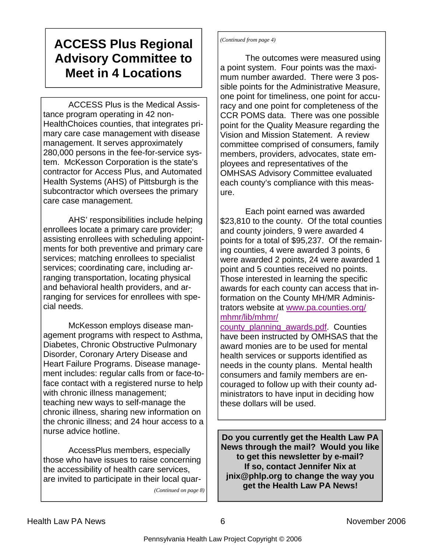### **ACCESS Plus Regional Advisory Committee to Meet in 4 Locations**

 ACCESS Plus is the Medical Assistance program operating in 42 non-HealthChoices counties, that integrates primary care case management with disease management. It serves approximately 280,000 persons in the fee-for-service system. McKesson Corporation is the state's contractor for Access Plus, and Automated Health Systems (AHS) of Pittsburgh is the subcontractor which oversees the primary care case management.

 AHS' responsibilities include helping enrollees locate a primary care provider; assisting enrollees with scheduling appointments for both preventive and primary care services; matching enrollees to specialist services; coordinating care, including arranging transportation, locating physical and behavioral health providers, and arranging for services for enrollees with special needs.

 McKesson employs disease management programs with respect to Asthma, Diabetes, Chronic Obstructive Pulmonary Disorder, Coronary Artery Disease and Heart Failure Programs. Disease management includes: regular calls from or face-toface contact with a registered nurse to help with chronic illness management; teaching new ways to self-manage the chronic illness, sharing new information on the chronic illness; and 24 hour access to a nurse advice hotline.

 AccessPlus members, especially those who have issues to raise concerning the accessibility of health care services, are invited to participate in their local quar-

*(Continued on page 8)* 

*(Continued from page 4)* 

 The outcomes were measured using a point system. Four points was the maximum number awarded. There were 3 possible points for the Administrative Measure, one point for timeliness, one point for accuracy and one point for completeness of the CCR POMS data. There was one possible point for the Quality Measure regarding the Vision and Mission Statement. A review committee comprised of consumers, family members, providers, advocates, state employees and representatives of the OMHSAS Advisory Committee evaluated each county's compliance with this measure.

 Each point earned was awarded \$23,810 to the county. Of the total counties and county joinders, 9 were awarded 4 points for a total of \$95,237. Of the remaining counties, 4 were awarded 3 points, 6 were awarded 2 points, 24 were awarded 1 point and 5 counties received no points. Those interested in learning the specific awards for each county can access that information on the County MH/MR Administrators website at www.pa.counties.org/ mhmr/lib/mhmr/

county\_planning\_awards.pdf. Counties have been instructed by OMHSAS that the award monies are to be used for mental health services or supports identified as needs in the county plans. Mental health consumers and family members are encouraged to follow up with their county administrators to have input in deciding how these dollars will be used.

**Do you currently get the Health Law PA News through the mail? Would you like to get this newsletter by e-mail? If so, contact Jennifer Nix at jnix@phlp.org to change the way you get the Health Law PA News!**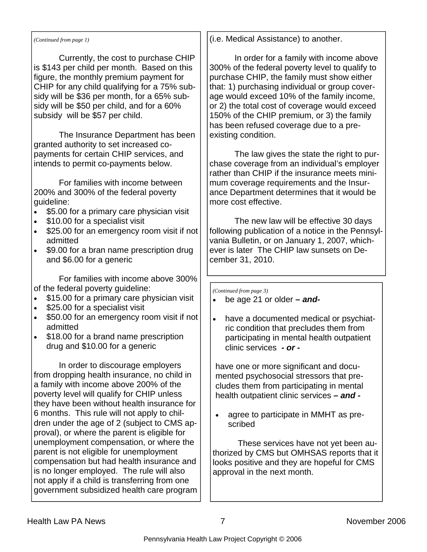#### *(Continued from page 1)*

 Currently, the cost to purchase CHIP is \$143 per child per month. Based on this figure, the monthly premium payment for CHIP for any child qualifying for a 75% subsidy will be \$36 per month, for a 65% subsidy will be \$50 per child, and for a 60% subsidy will be \$57 per child.

 The Insurance Department has been granted authority to set increased copayments for certain CHIP services, and intends to permit co-payments below.

 For families with income between 200% and 300% of the federal poverty guideline:

- \$5.00 for a primary care physician visit
- \$10.00 for a specialist visit
- \$25.00 for an emergency room visit if not admitted
- \$9.00 for a bran name prescription drug and \$6.00 for a generic

 For families with income above 300% of the federal poverty guideline:

- \$15.00 for a primary care physician visit
- \$25.00 for a specialist visit
- \$50.00 for an emergency room visit if not admitted
- \$18.00 for a brand name prescription drug and \$10.00 for a generic

 In order to discourage employers from dropping health insurance, no child in a family with income above 200% of the poverty level will qualify for CHIP unless they have been without health insurance for 6 months. This rule will not apply to children under the age of 2 (subject to CMS approval), or where the parent is eligible for unemployment compensation, or where the parent is not eligible for unemployment compensation but had health insurance and is no longer employed. The rule will also not apply if a child is transferring from one government subsidized health care program (i.e. Medical Assistance) to another.

 In order for a family with income above 300% of the federal poverty level to qualify to purchase CHIP, the family must show either that: 1) purchasing individual or group coverage would exceed 10% of the family income, or 2) the total cost of coverage would exceed 150% of the CHIP premium, or 3) the family has been refused coverage due to a preexisting condition.

 The law gives the state the right to purchase coverage from an individual's employer rather than CHIP if the insurance meets minimum coverage requirements and the Insurance Department determines that it would be more cost effective.

 The new law will be effective 30 days following publication of a notice in the Pennsylvania Bulletin, or on January 1, 2007, whichever is later The CHIP law sunsets on December 31, 2010.

*(Continued from page 3)* 

- be age 21 or older  *and-*
- have a documented medical or psychiatric condition that precludes them from participating in mental health outpatient clinic services *- or -*

have one or more significant and documented psychosocial stressors that precludes them from participating in mental health outpatient clinic services *– and -*

• agree to participate in MMHT as prescribed

 These services have not yet been authorized by CMS but OMHSAS reports that it looks positive and they are hopeful for CMS approval in the next month.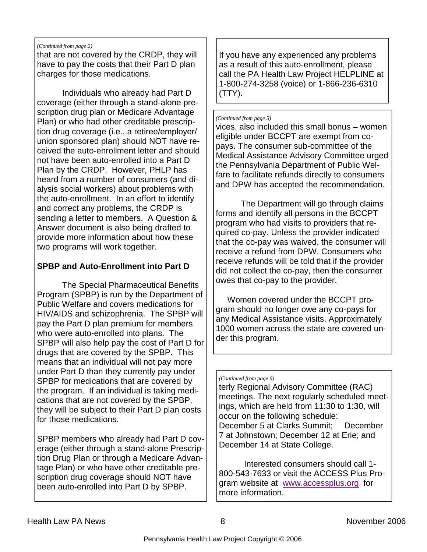#### *(Continued from page 2)*

that are not covered by the CRDP, they will have to pay the costs that their Part D plan charges for those medications.

 Individuals who already had Part D coverage (either through a stand-alone prescription drug plan or Medicare Advantage Plan) or who had other creditable prescription drug coverage (i.e., a retiree/employer/ union sponsored plan) should NOT have received the auto-enrollment letter and should not have been auto-enrolled into a Part D Plan by the CRDP. However, PHLP has heard from a number of consumers (and dialysis social workers) about problems with the auto-enrollment. In an effort to identify and correct any problems, the CRDP is sending a letter to members. A Question & Answer document is also being drafted to provide more information about how these two programs will work together.

#### **SPBP and Auto-Enrollment into Part D**

 The Special Pharmaceutical Benefits Program (SPBP) is run by the Department of Public Welfare and covers medications for HIV/AIDS and schizophrenia. The SPBP will pay the Part D plan premium for members who were auto-enrolled into plans. The SPBP will also help pay the cost of Part D for drugs that are covered by the SPBP. This means that an individual will not pay more under Part D than they currently pay under SPBP for medications that are covered by the program. If an individual is taking medications that are not covered by the SPBP, they will be subject to their Part D plan costs for those medications.

SPBP members who already had Part D coverage (either through a stand-alone Prescription Drug Plan or through a Medicare Advantage Plan) or who have other creditable prescription drug coverage should NOT have been auto-enrolled into Part D by SPBP.

If you have any experienced any problems as a result of this auto-enrollment, please call the PA Health Law Project HELPLINE at 1-800-274-3258 (voice) or 1-866-236-6310 (TTY).

#### *(Continued from page 5)*

vices, also included this small bonus – women eligible under BCCPT are exempt from copays. The consumer sub-committee of the Medical Assistance Advisory Committee urged the Pennsylvania Department of Public Welfare to facilitate refunds directly to consumers and DPW has accepted the recommendation.

 The Department will go through claims forms and identify all persons in the BCCPT program who had visits to providers that required co-pay. Unless the provider indicated that the co-pay was waived, the consumer will receive a refund from DPW. Consumers who receive refunds will be told that if the provider did not collect the co-pay, then the consumer owes that co-pay to the provider.

 Women covered under the BCCPT program should no longer owe any co-pays for any Medical Assistance visits. Approximately 1000 women across the state are covered under this program.

#### *(Continued from page 6)*

terly Regional Advisory Committee (RAC) meetings. The next regularly scheduled meetings, which are held from 11:30 to 1:30, will occur on the following schedule: December 5 at Clarks Summit; December 7 at Johnstown; December 12 at Erie; and December 14 at State College.

 Interested consumers should call 1- 800-543-7633 or visit the ACCESS Plus Program website at www.accessplus.org. for more information.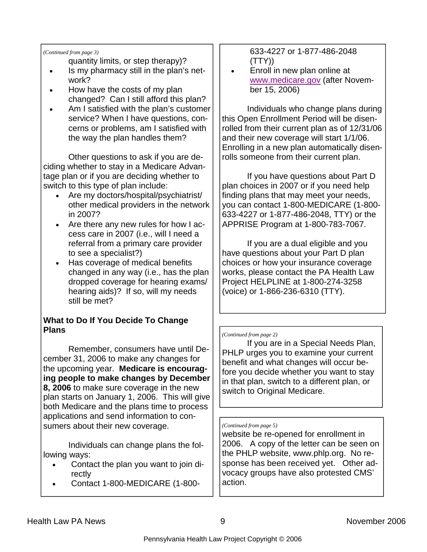#### *(Continued from page 3)*

quantity limits, or step therapy)?

- Is my pharmacy still in the plan's network?
- How have the costs of my plan changed? Can I still afford this plan?
- Am I satisfied with the plan's customer service? When I have questions, concerns or problems, am I satisfied with the way the plan handles them?

 Other questions to ask if you are deciding whether to stay in a Medicare Advantage plan or if you are deciding whether to switch to this type of plan include:

- Are my doctors/hospital/psychiatrist/ other medical providers in the network in 2007?
- Are there any new rules for how I access care in 2007 (i.e., will I need a referral from a primary care provider to see a specialist?)
- Has coverage of medical benefits changed in any way (i.e., has the plan dropped coverage for hearing exams/ hearing aids)? If so, will my needs still be met?

#### **What to Do If You Decide To Change Plans**

 Remember, consumers have until December 31, 2006 to make any changes for the upcoming year. **Medicare is encouraging people to make changes by December 8, 2006** to make sure coverage in the new plan starts on January 1, 2006. This will give both Medicare and the plans time to process applications and send information to consumers about their new coverage.

 Individuals can change plans the following ways:

- Contact the plan you want to join directly
- Contact 1-800-MEDICARE (1-800-

633-4227 or 1-877-486-2048 (TTY))

• Enroll in new plan online at www.medicare.gov (after November 15, 2006)

 Individuals who change plans during this Open Enrollment Period will be disenrolled from their current plan as of 12/31/06 and their new coverage will start 1/1/06. Enrolling in a new plan automatically disenrolls someone from their current plan.

 If you have questions about Part D plan choices in 2007 or if you need help finding plans that may meet your needs, you can contact 1-800-MEDICARE (1-800- 633-4227 or 1-877-486-2048, TTY) or the APPRISE Program at 1-800-783-7067.

 If you are a dual eligible and you have questions about your Part D plan choices or how your insurance coverage works, please contact the PA Health Law Project HELPLINE at 1-800-274-3258 (voice) or 1-866-236-6310 (TTY).

#### *(Continued from page 2)*

 If you are in a Special Needs Plan, PHLP urges you to examine your current benefit and what changes will occur before you decide whether you want to stay in that plan, switch to a different plan, or switch to Original Medicare.

#### *(Continued from page 5)*

website be re-opened for enrollment in 2006. A copy of the letter can be seen on the PHLP website, www.phlp.org. No response has been received yet. Other advocacy groups have also protested CMS' action.